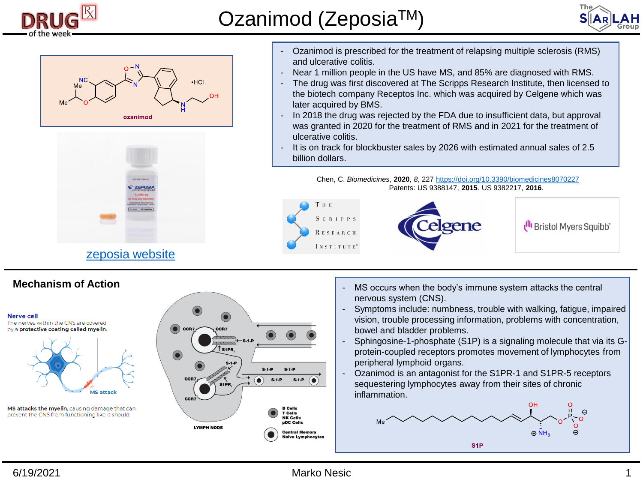





## [zeposia](https://www.zeposia.com/multiple-sclerosis/mechanism-of-action/?cid=sem_1183707:ozanimod:google:cpc:zeposia general:ozanimod&utm_source=google&utm_medium=cpc&utm_content=ozanimod&utm_campaign=zeposia general&utm_term=ozanimod) website

## **Mechanism of Action**



- Ozanimod is prescribed for the treatment of relapsing multiple sclerosis (RMS) and ulcerative colitis.
- Near 1 million people in the US have MS, and 85% are diagnosed with RMS.
- The drug was first discovered at The Scripps Research Institute, then licensed to the biotech company Receptos Inc. which was acquired by Celgene which was later acquired by BMS.
- In 2018 the drug was rejected by the FDA due to insufficient data, but approval was granted in 2020 for the treatment of RMS and in 2021 for the treatment of ulcerative colitis.
- It is on track for blockbuster sales by 2026 with estimated annual sales of 2.5 billion dollars.

Chen, C. *Biomedicines*, **2020**, *8*, 227 <https://doi.org/10.3390/biomedicines8070227> Patents: US 9388147, **2015**. US 9382217, **2016**.



- MS occurs when the body's immune system attacks the central nervous system (CNS).
- Symptoms include: numbness, trouble with walking, fatigue, impaired vision, trouble processing information, problems with concentration, bowel and bladder problems.
- Sphingosine-1-phosphate (S1P) is a signaling molecule that via its Gprotein-coupled receptors promotes movement of lymphocytes from peripheral lymphoid organs.
- Ozanimod is an antagonist for the S1PR-1 and S1PR-5 receptors sequestering lymphocytes away from their sites of chronic inflammation.